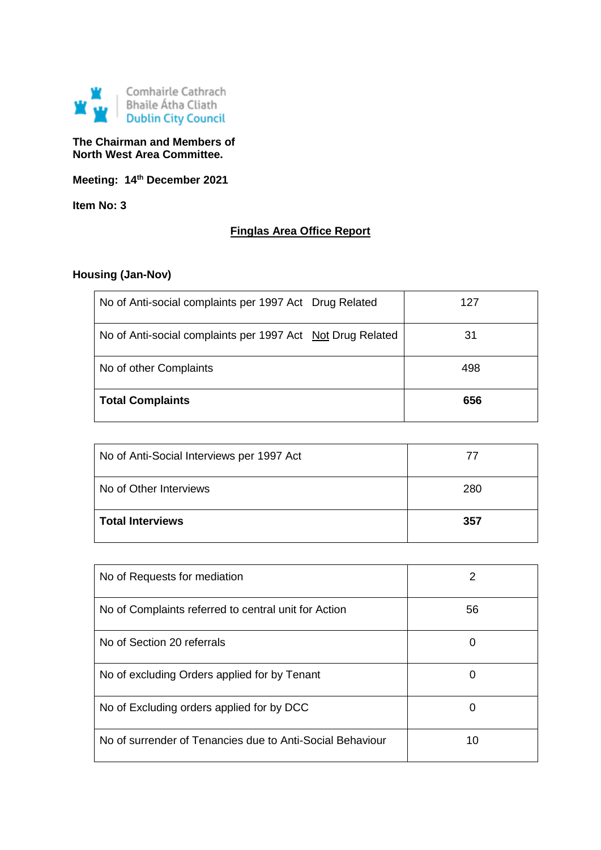

# **The Chairman and Members of North West Area Committee.**

**Meeting: 14th December 2021**

**Item No: 3**

# **Finglas Area Office Report**

# **Housing (Jan-Nov)**

| No of Anti-social complaints per 1997 Act Drug Related     | 127 |
|------------------------------------------------------------|-----|
| No of Anti-social complaints per 1997 Act Not Drug Related | 31  |
| No of other Complaints                                     | 498 |
| <b>Total Complaints</b>                                    | 656 |

| No of Anti-Social Interviews per 1997 Act | $\prime\prime$ |
|-------------------------------------------|----------------|
| l No of Other Interviews                  | 280            |
| l Total Interviews                        | 357            |

| No of Requests for mediation                              | 2  |
|-----------------------------------------------------------|----|
| No of Complaints referred to central unit for Action      | 56 |
| No of Section 20 referrals                                | 0  |
| No of excluding Orders applied for by Tenant              | 0  |
| No of Excluding orders applied for by DCC                 | 0  |
| No of surrender of Tenancies due to Anti-Social Behaviour | 10 |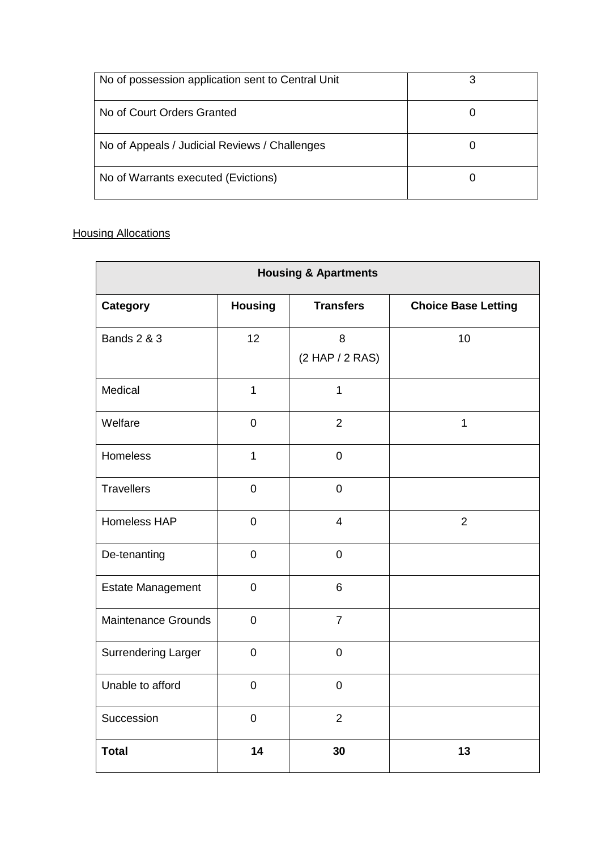| No of possession application sent to Central Unit | ર |
|---------------------------------------------------|---|
| No of Court Orders Granted                        |   |
| No of Appeals / Judicial Reviews / Challenges     |   |
| No of Warrants executed (Evictions)               |   |

# **Housing Allocations**

| <b>Housing &amp; Apartments</b> |                  |                      |                            |
|---------------------------------|------------------|----------------------|----------------------------|
| Category                        | <b>Housing</b>   | <b>Transfers</b>     | <b>Choice Base Letting</b> |
| <b>Bands 2 &amp; 3</b>          | 12               | 8<br>(2 HAP / 2 RAS) | 10                         |
| Medical                         | $\mathbf{1}$     | $\mathbf{1}$         |                            |
| Welfare                         | $\pmb{0}$        | $\overline{2}$       | $\mathbf 1$                |
| Homeless                        | $\mathbf{1}$     | $\mathbf 0$          |                            |
| <b>Travellers</b>               | $\mathbf 0$      | $\mathbf 0$          |                            |
| Homeless HAP                    | $\mathbf 0$      | $\overline{4}$       | $\overline{2}$             |
| De-tenanting                    | $\overline{0}$   | $\overline{0}$       |                            |
| <b>Estate Management</b>        | $\pmb{0}$        | $6\phantom{1}$       |                            |
| <b>Maintenance Grounds</b>      | $\mathbf 0$      | $\overline{7}$       |                            |
| <b>Surrendering Larger</b>      | $\pmb{0}$        | $\pmb{0}$            |                            |
| Unable to afford                | $\mathbf 0$      | $\mathbf 0$          |                            |
| Succession                      | $\boldsymbol{0}$ | $\overline{2}$       |                            |
| <b>Total</b>                    | 14               | 30                   | 13                         |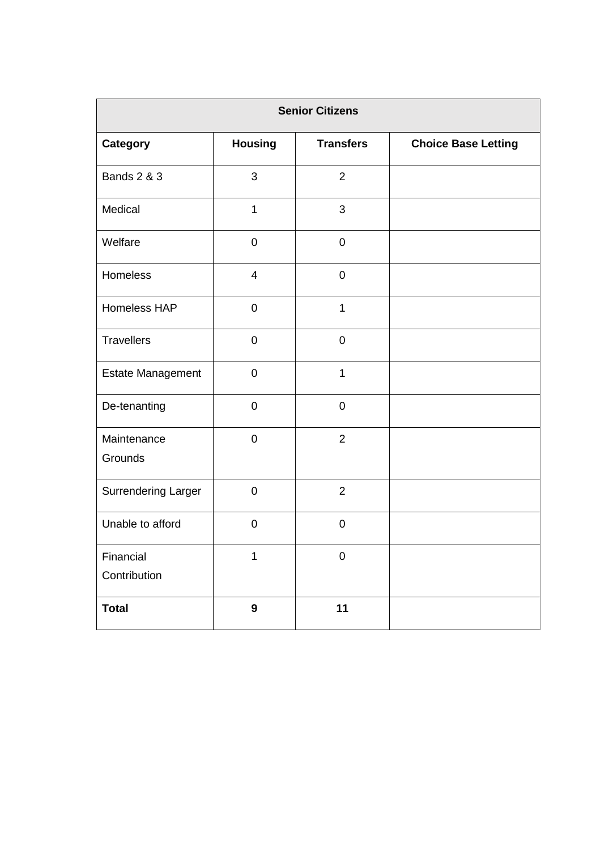| <b>Senior Citizens</b>    |                          |                     |                            |
|---------------------------|--------------------------|---------------------|----------------------------|
| <b>Category</b>           | <b>Housing</b>           | <b>Transfers</b>    | <b>Choice Base Letting</b> |
| <b>Bands 2 &amp; 3</b>    | 3                        | $\overline{2}$      |                            |
| Medical                   | $\mathbf{1}$             | 3                   |                            |
| Welfare                   | $\pmb{0}$                | $\mathbf 0$         |                            |
| Homeless                  | $\overline{\mathcal{A}}$ | $\mathbf 0$         |                            |
| Homeless HAP              | $\mathbf 0$              | $\mathbf{1}$        |                            |
| <b>Travellers</b>         | $\mathbf 0$              | $\mathbf 0$         |                            |
| Estate Management         | $\pmb{0}$                | $\mathbf{1}$        |                            |
| De-tenanting              | $\mathbf 0$              | $\mathbf 0$         |                            |
| Maintenance<br>Grounds    | $\mathbf 0$              | $\overline{2}$      |                            |
| Surrendering Larger       | $\mathbf 0$              | $\overline{2}$      |                            |
| Unable to afford          | $\mathbf 0$              | $\mathbf 0$         |                            |
| Financial<br>Contribution | 1                        | $\mathsf{O}\xspace$ |                            |
| <b>Total</b>              | $\boldsymbol{9}$         | 11                  |                            |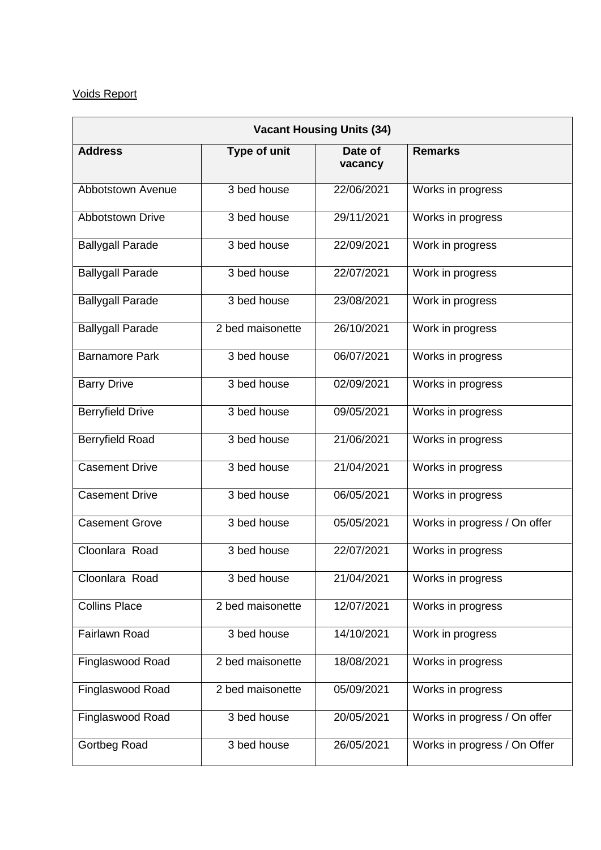# Voids Report

| <b>Vacant Housing Units (34)</b> |                  |                    |                              |
|----------------------------------|------------------|--------------------|------------------------------|
| <b>Address</b>                   | Type of unit     | Date of<br>vacancy | <b>Remarks</b>               |
| Abbotstown Avenue                | 3 bed house      | 22/06/2021         | Works in progress            |
| <b>Abbotstown Drive</b>          | 3 bed house      | 29/11/2021         | Works in progress            |
| <b>Ballygall Parade</b>          | 3 bed house      | 22/09/2021         | Work in progress             |
| <b>Ballygall Parade</b>          | 3 bed house      | 22/07/2021         | Work in progress             |
| <b>Ballygall Parade</b>          | 3 bed house      | 23/08/2021         | Work in progress             |
| <b>Ballygall Parade</b>          | 2 bed maisonette | 26/10/2021         | Work in progress             |
| <b>Barnamore Park</b>            | 3 bed house      | 06/07/2021         | Works in progress            |
| <b>Barry Drive</b>               | 3 bed house      | 02/09/2021         | Works in progress            |
| <b>Berryfield Drive</b>          | 3 bed house      | 09/05/2021         | Works in progress            |
| <b>Berryfield Road</b>           | 3 bed house      | 21/06/2021         | Works in progress            |
| <b>Casement Drive</b>            | 3 bed house      | 21/04/2021         | Works in progress            |
| <b>Casement Drive</b>            | 3 bed house      | 06/05/2021         | Works in progress            |
| <b>Casement Grove</b>            | 3 bed house      | 05/05/2021         | Works in progress / On offer |
| Cloonlara Road                   | 3 bed house      | 22/07/2021         | Works in progress            |
| Cloonlara Road                   | 3 bed house      | 21/04/2021         | Works in progress            |
| <b>Collins Place</b>             | 2 bed maisonette | 12/07/2021         | Works in progress            |
| Fairlawn Road                    | 3 bed house      | 14/10/2021         | Work in progress             |
| Finglaswood Road                 | 2 bed maisonette | 18/08/2021         | Works in progress            |
| Finglaswood Road                 | 2 bed maisonette | 05/09/2021         | Works in progress            |
| Finglaswood Road                 | 3 bed house      | 20/05/2021         | Works in progress / On offer |
| Gortbeg Road                     | 3 bed house      | 26/05/2021         | Works in progress / On Offer |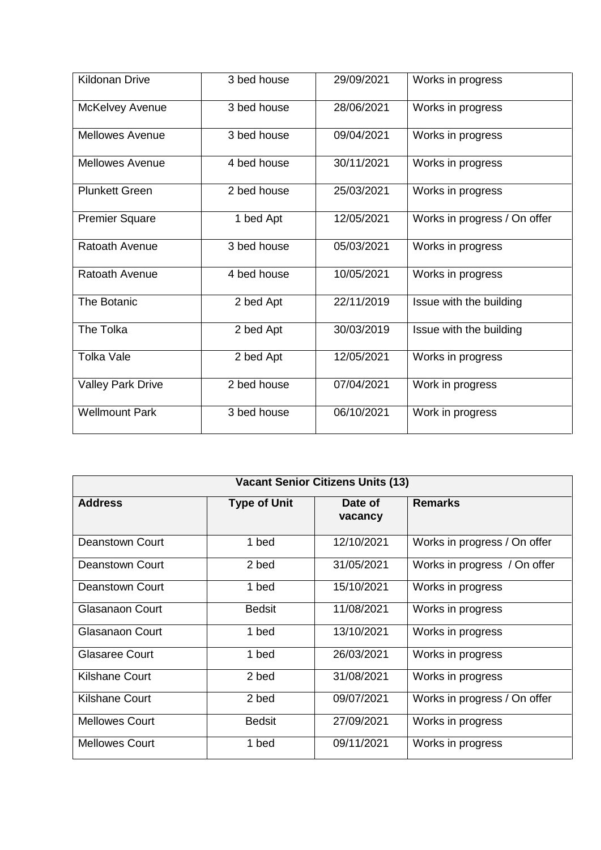| Kildonan Drive           | 3 bed house | 29/09/2021 | Works in progress            |
|--------------------------|-------------|------------|------------------------------|
| McKelvey Avenue          | 3 bed house | 28/06/2021 | Works in progress            |
| <b>Mellowes Avenue</b>   | 3 bed house | 09/04/2021 | Works in progress            |
| <b>Mellowes Avenue</b>   | 4 bed house | 30/11/2021 | Works in progress            |
| <b>Plunkett Green</b>    | 2 bed house | 25/03/2021 | Works in progress            |
| <b>Premier Square</b>    | 1 bed Apt   | 12/05/2021 | Works in progress / On offer |
| Ratoath Avenue           | 3 bed house | 05/03/2021 | Works in progress            |
| Ratoath Avenue           | 4 bed house | 10/05/2021 | Works in progress            |
| <b>The Botanic</b>       | 2 bed Apt   | 22/11/2019 | Issue with the building      |
| The Tolka                | 2 bed Apt   | 30/03/2019 | Issue with the building      |
| <b>Tolka Vale</b>        | 2 bed Apt   | 12/05/2021 | Works in progress            |
| <b>Valley Park Drive</b> | 2 bed house | 07/04/2021 | Work in progress             |
| <b>Wellmount Park</b>    | 3 bed house | 06/10/2021 | Work in progress             |

| <b>Vacant Senior Citizens Units (13)</b> |                     |                    |                              |
|------------------------------------------|---------------------|--------------------|------------------------------|
| <b>Address</b>                           | <b>Type of Unit</b> | Date of<br>vacancy | <b>Remarks</b>               |
| Deanstown Court                          | 1 bed               | 12/10/2021         | Works in progress / On offer |
| <b>Deanstown Court</b>                   | 2 bed               | 31/05/2021         | Works in progress / On offer |
| Deanstown Court                          | 1 bed               | 15/10/2021         | Works in progress            |
| <b>Glasanaon Court</b>                   | <b>Bedsit</b>       | 11/08/2021         | Works in progress            |
| Glasanaon Court                          | 1 bed               | 13/10/2021         | Works in progress            |
| <b>Glasaree Court</b>                    | 1 bed               | 26/03/2021         | Works in progress            |
| Kilshane Court                           | 2 bed               | 31/08/2021         | Works in progress            |
| <b>Kilshane Court</b>                    | 2 bed               | 09/07/2021         | Works in progress / On offer |
| <b>Mellowes Court</b>                    | <b>Bedsit</b>       | 27/09/2021         | Works in progress            |
| <b>Mellowes Court</b>                    | 1 bed               | 09/11/2021         | Works in progress            |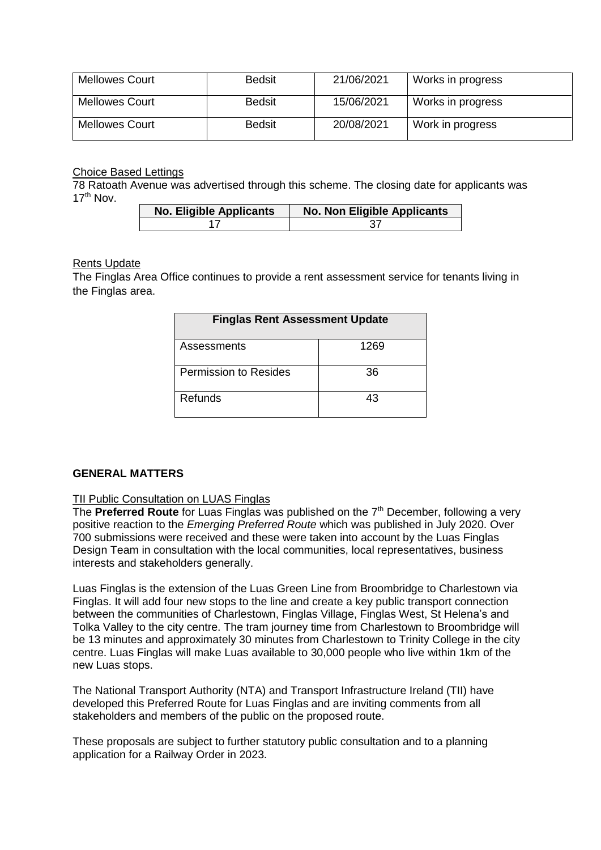| <b>Mellowes Court</b> | <b>Bedsit</b> | 21/06/2021 | Works in progress |
|-----------------------|---------------|------------|-------------------|
| <b>Mellowes Court</b> | <b>Bedsit</b> | 15/06/2021 | Works in progress |
| <b>Mellowes Court</b> | <b>Bedsit</b> | 20/08/2021 | Work in progress  |

Choice Based Lettings

78 Ratoath Avenue was advertised through this scheme. The closing date for applicants was  $17<sup>th</sup>$  Nov.

| <b>No. Eligible Applicants</b> | No. Non Eligible Applicants |
|--------------------------------|-----------------------------|
|                                |                             |

## Rents Update

The Finglas Area Office continues to provide a rent assessment service for tenants living in the Finglas area.

| <b>Finglas Rent Assessment Update</b> |      |  |
|---------------------------------------|------|--|
| Assessments                           | 1269 |  |
| <b>Permission to Resides</b>          | 36   |  |
| Refunds                               | 43   |  |

## **GENERAL MATTERS**

## TII Public Consultation on LUAS Finglas

The **Preferred Route** for Luas Finglas was published on the 7<sup>th</sup> December, following a very positive reaction to the *Emerging Preferred Route* which was published in July 2020. Over 700 submissions were received and these were taken into account by the Luas Finglas Design Team in consultation with the local communities, local representatives, business interests and stakeholders generally.

Luas Finglas is the extension of the Luas Green Line from Broombridge to Charlestown via Finglas. It will add four new stops to the line and create a key public transport connection between the communities of Charlestown, Finglas Village, Finglas West, St Helena's and Tolka Valley to the city centre. The tram journey time from Charlestown to Broombridge will be 13 minutes and approximately 30 minutes from Charlestown to Trinity College in the city centre. Luas Finglas will make Luas available to 30,000 people who live within 1km of the new Luas stops.

The National Transport Authority (NTA) and Transport Infrastructure Ireland (TII) have developed this Preferred Route for Luas Finglas and are inviting comments from all stakeholders and members of the public on the proposed route.

These proposals are subject to further statutory public consultation and to a planning application for a Railway Order in 2023.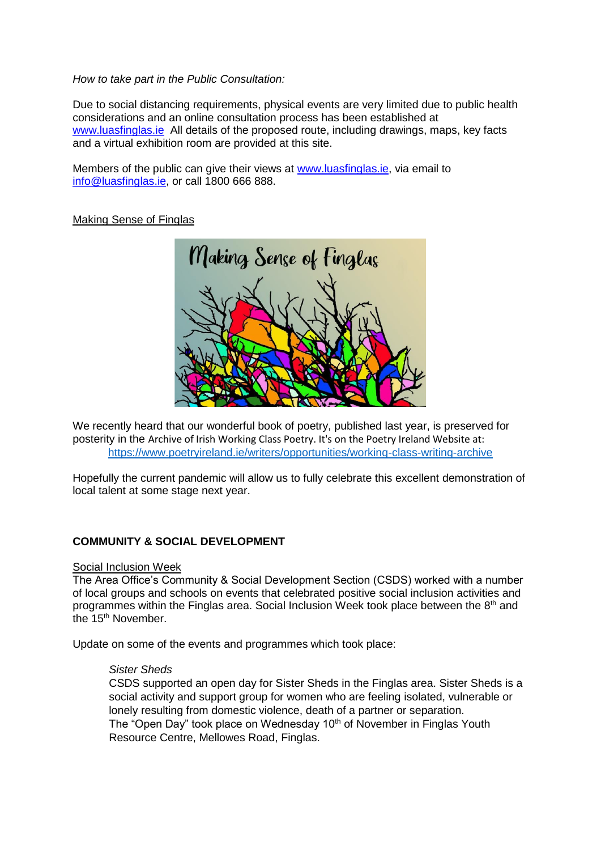### *How to take part in the Public Consultation:*

Due to social distancing requirements, physical events are very limited due to public health considerations and an online consultation process has been established at [www.luasfinglas.ie](http://www.luasfinglas.ie/) All details of the proposed route, including drawings, maps, key facts and a virtual exhibition room are provided at this site.

Members of the public can give their views at [www.luasfinglas.ie,](http://www.luasfinglas.ie/) via email to [info@luasfinglas.ie,](mailto:info@luasfinglas.ie) or call 1800 666 888.

## Making Sense of Finglas



We recently heard that our wonderful book of poetry, published last year, is preserved for posterity in the Archive of Irish Working Class Poetry. It's on the Poetry Ireland Website at: <https://www.poetryireland.ie/writers/opportunities/working-class-writing-archive>

Hopefully the current pandemic will allow us to fully celebrate this excellent demonstration of local talent at some stage next year.

## **COMMUNITY & SOCIAL DEVELOPMENT**

## Social Inclusion Week

The Area Office's Community & Social Development Section (CSDS) worked with a number of local groups and schools on events that celebrated positive social inclusion activities and programmes within the Finglas area. Social Inclusion Week took place between the 8th and the 15<sup>th</sup> November.

Update on some of the events and programmes which took place:

### *Sister Sheds*

CSDS supported an open day for Sister Sheds in the Finglas area. Sister Sheds is a social activity and support group for women who are feeling isolated, vulnerable or lonely resulting from domestic violence, death of a partner or separation. The "Open Day" took place on Wednesday 10<sup>th</sup> of November in Finglas Youth Resource Centre, Mellowes Road, Finglas.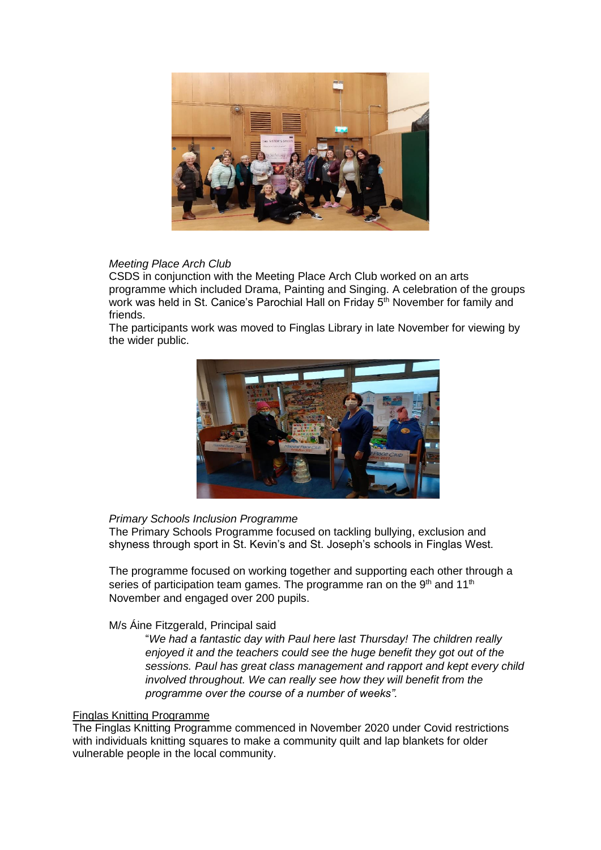

# *Meeting Place Arch Club*

CSDS in conjunction with the Meeting Place Arch Club worked on an arts programme which included Drama, Painting and Singing. A celebration of the groups work was held in St. Canice's Parochial Hall on Friday 5<sup>th</sup> November for family and friends.

The participants work was moved to Finglas Library in late November for viewing by the wider public.



## *Primary Schools Inclusion Programme*

The Primary Schools Programme focused on tackling bullying, exclusion and shyness through sport in St. Kevin's and St. Joseph's schools in Finglas West.

The programme focused on working together and supporting each other through a series of participation team games. The programme ran on the  $9<sup>th</sup>$  and 11<sup>th</sup> November and engaged over 200 pupils.

## M/s Áine Fitzgerald, Principal said

"*We had a fantastic day with Paul here last Thursday! The children really enjoyed it and the teachers could see the huge benefit they got out of the sessions. Paul has great class management and rapport and kept every child involved throughout. We can really see how they will benefit from the programme over the course of a number of weeks".*

## Finglas Knitting Programme

The Finglas Knitting Programme commenced in November 2020 under Covid restrictions with individuals knitting squares to make a community quilt and lap blankets for older vulnerable people in the local community.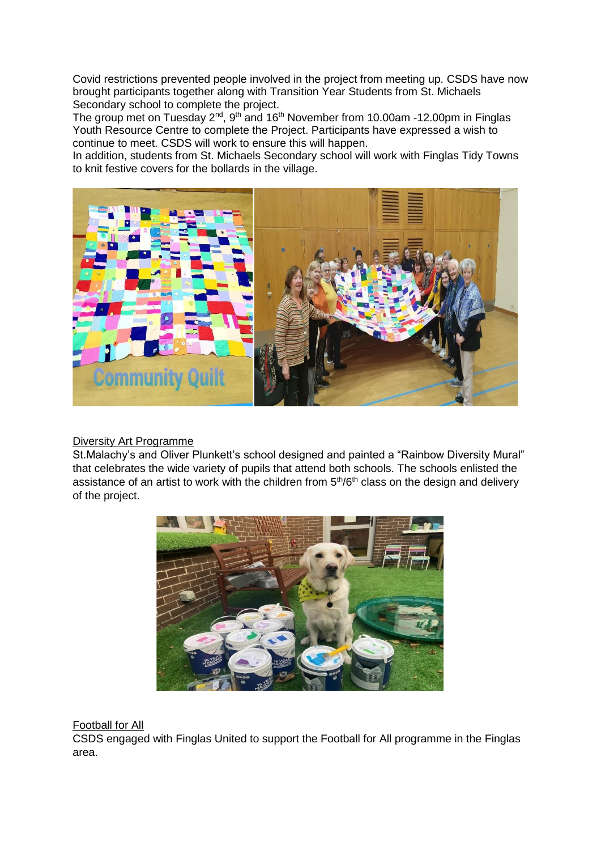Covid restrictions prevented people involved in the project from meeting up. CSDS have now brought participants together along with Transition Year Students from St. Michaels Secondary school to complete the project.

The group met on Tuesday 2<sup>nd</sup>, 9<sup>th</sup> and 16<sup>th</sup> November from 10.00am -12.00pm in Finglas Youth Resource Centre to complete the Project. Participants have expressed a wish to continue to meet. CSDS will work to ensure this will happen.

In addition, students from St. Michaels Secondary school will work with Finglas Tidy Towns to knit festive covers for the bollards in the village.



## Diversity Art Programme

St.Malachy's and Oliver Plunkett's school designed and painted a "Rainbow Diversity Mural" that celebrates the wide variety of pupils that attend both schools. The schools enlisted the assistance of an artist to work with the children from 5<sup>th</sup>/6<sup>th</sup> class on the design and delivery of the project.



## Football for All

CSDS engaged with Finglas United to support the Football for All programme in the Finglas area.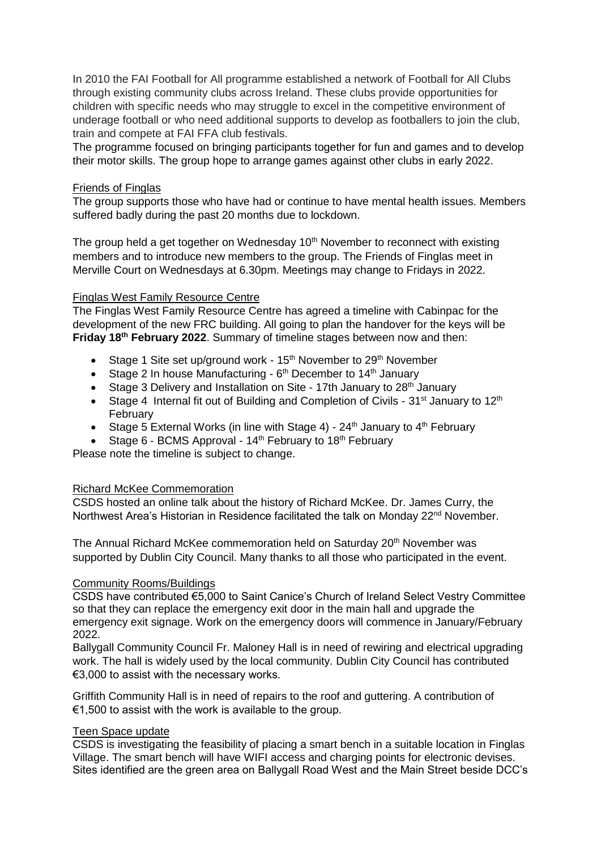In 2010 the FAI Football for All programme established a network of Football for All Clubs through existing community clubs across Ireland. These clubs provide opportunities for children with specific needs who may struggle to excel in the competitive environment of underage football or who need additional supports to develop as footballers to join the club, train and compete at FAI FFA club festivals.

The programme focused on bringing participants together for fun and games and to develop their motor skills. The group hope to arrange games against other clubs in early 2022.

### Friends of Finglas

The group supports those who have had or continue to have mental health issues. Members suffered badly during the past 20 months due to lockdown.

The group held a get together on Wednesday  $10<sup>th</sup>$  November to reconnect with existing members and to introduce new members to the group. The Friends of Finglas meet in Merville Court on Wednesdays at 6.30pm. Meetings may change to Fridays in 2022.

### Finglas West Family Resource Centre

The Finglas West Family Resource Centre has agreed a timeline with Cabinpac for the development of the new FRC building. All going to plan the handover for the keys will be **Friday 18th February 2022**. Summary of timeline stages between now and then:

- Stage 1 Site set up/ground work 15<sup>th</sup> November to 29<sup>th</sup> November
- Stage 2 In house Manufacturing  $6<sup>th</sup>$  December to 14<sup>th</sup> January
- Stage 3 Delivery and Installation on Site 17th January to  $28<sup>th</sup>$  January
- Stage 4 Internal fit out of Building and Completion of Civils  $31^{st}$  January to  $12^{th}$ February
- Stage 5 External Works (in line with Stage 4)  $24<sup>th</sup>$  January to  $4<sup>th</sup>$  February
- Stage 6 BCMS Approval  $14<sup>th</sup>$  February to  $18<sup>th</sup>$  February

Please note the timeline is subject to change.

### Richard McKee Commemoration

CSDS hosted an online talk about the history of Richard McKee. Dr. James Curry, the Northwest Area's Historian in Residence facilitated the talk on Monday 22<sup>nd</sup> November.

The Annual Richard McKee commemoration held on Saturday 20<sup>th</sup> November was supported by Dublin City Council. Many thanks to all those who participated in the event.

### Community Rooms/Buildings

CSDS have contributed €5,000 to Saint Canice's Church of Ireland Select Vestry Committee so that they can replace the emergency exit door in the main hall and upgrade the emergency exit signage. Work on the emergency doors will commence in January/February 2022.

Ballygall Community Council Fr. Maloney Hall is in need of rewiring and electrical upgrading work. The hall is widely used by the local community. Dublin City Council has contributed €3,000 to assist with the necessary works.

Griffith Community Hall is in need of repairs to the roof and guttering. A contribution of €1,500 to assist with the work is available to the group.

### Teen Space update

CSDS is investigating the feasibility of placing a smart bench in a suitable location in Finglas Village. The smart bench will have WIFI access and charging points for electronic devises. Sites identified are the green area on Ballygall Road West and the Main Street beside DCC's